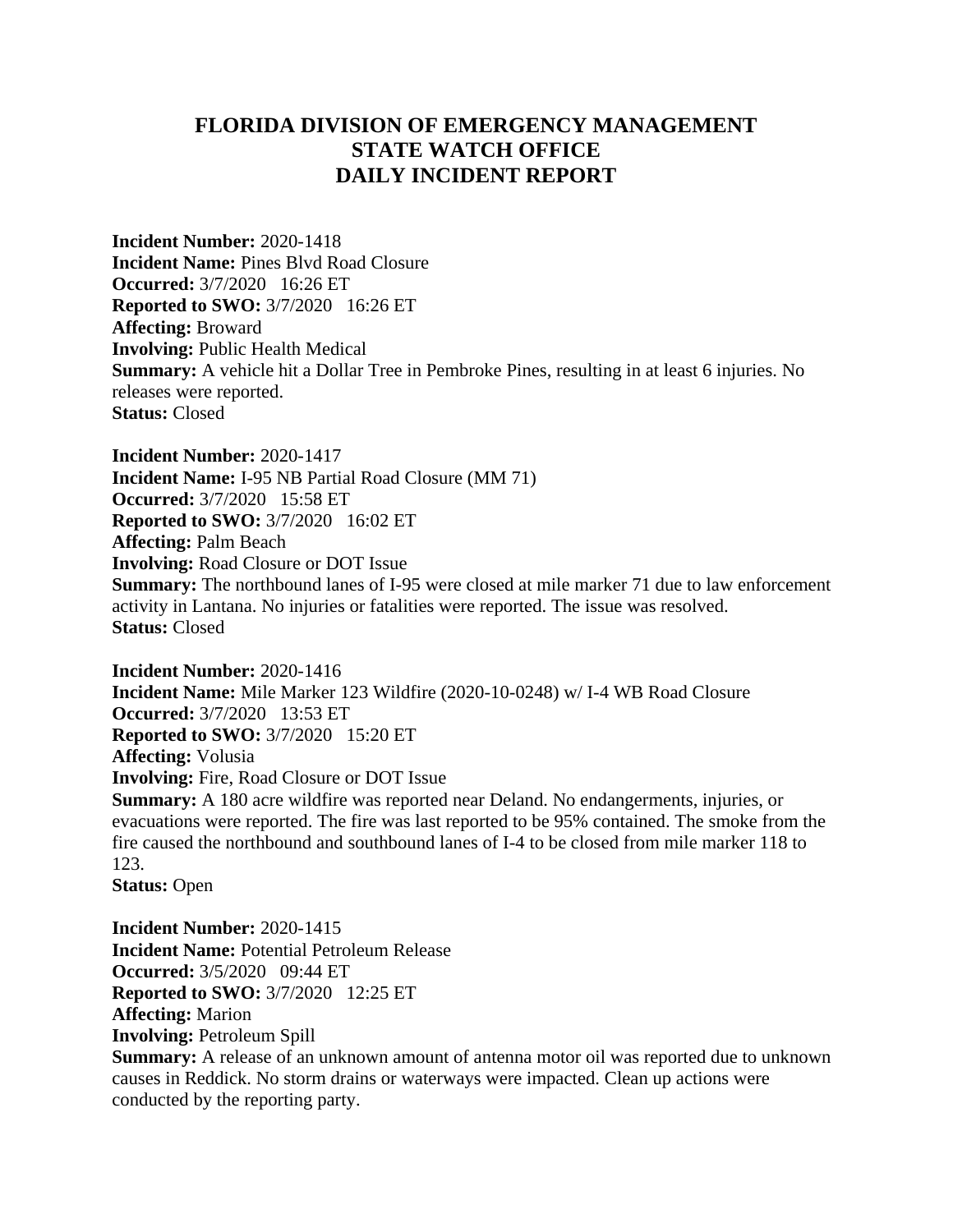## **FLORIDA DIVISION OF EMERGENCY MANAGEMENT STATE WATCH OFFICE DAILY INCIDENT REPORT**

**Incident Number:** 2020-1418 **Incident Name:** Pines Blvd Road Closure **Occurred:** 3/7/2020 16:26 ET **Reported to SWO:** 3/7/2020 16:26 ET **Affecting:** Broward **Involving:** Public Health Medical **Summary:** A vehicle hit a Dollar Tree in Pembroke Pines, resulting in at least 6 injuries. No releases were reported. **Status:** Closed

**Incident Number:** 2020-1417 **Incident Name:** I-95 NB Partial Road Closure (MM 71) **Occurred:** 3/7/2020 15:58 ET **Reported to SWO:** 3/7/2020 16:02 ET **Affecting:** Palm Beach **Involving:** Road Closure or DOT Issue **Summary:** The northbound lanes of I-95 were closed at mile marker 71 due to law enforcement activity in Lantana. No injuries or fatalities were reported. The issue was resolved. **Status:** Closed

**Incident Number:** 2020-1416 **Incident Name:** Mile Marker 123 Wildfire (2020-10-0248) w/ I-4 WB Road Closure **Occurred:** 3/7/2020 13:53 ET **Reported to SWO:** 3/7/2020 15:20 ET **Affecting:** Volusia **Involving:** Fire, Road Closure or DOT Issue **Summary:** A 180 acre wildfire was reported near Deland. No endangerments, injuries, or evacuations were reported. The fire was last reported to be 95% contained. The smoke from the fire caused the northbound and southbound lanes of I-4 to be closed from mile marker 118 to 123. **Status:** Open

**Incident Number:** 2020-1415 **Incident Name:** Potential Petroleum Release **Occurred:** 3/5/2020 09:44 ET **Reported to SWO:** 3/7/2020 12:25 ET **Affecting:** Marion **Involving:** Petroleum Spill **Summary:** A release of an unknown amount of antenna motor oil was reported due to unknown causes in Reddick. No storm drains or waterways were impacted. Clean up actions were conducted by the reporting party.